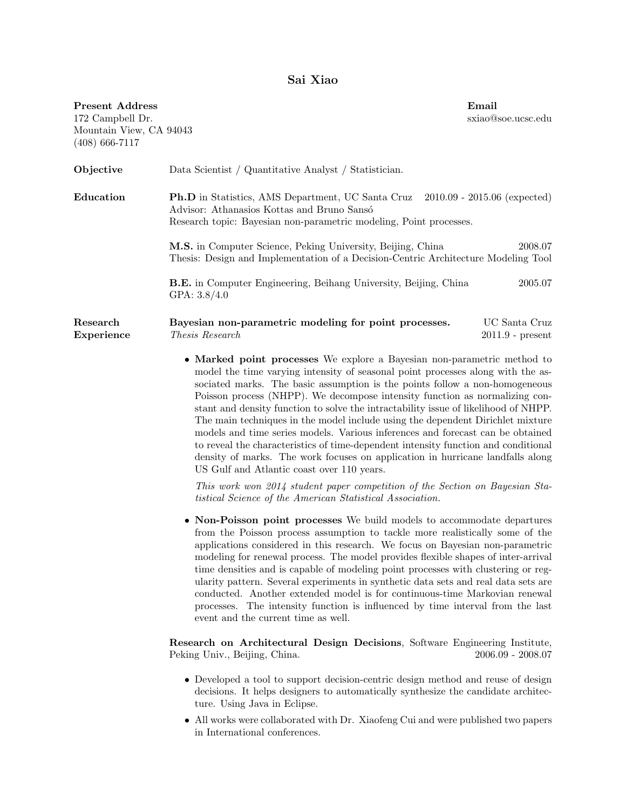## Sai Xiao

| <b>Present Address</b><br>172 Campbell Dr.<br>Mountain View, CA 94043<br>$(408)$ 666-7117 |                                                                                                                                                                                                                                                                                                                                                                                                                                                                                                                                                                                                                                                                                                                                                                                                           | Email<br>sxiao@soe.ucsc.edu         |
|-------------------------------------------------------------------------------------------|-----------------------------------------------------------------------------------------------------------------------------------------------------------------------------------------------------------------------------------------------------------------------------------------------------------------------------------------------------------------------------------------------------------------------------------------------------------------------------------------------------------------------------------------------------------------------------------------------------------------------------------------------------------------------------------------------------------------------------------------------------------------------------------------------------------|-------------------------------------|
| Objective                                                                                 | Data Scientist / Quantitative Analyst / Statistician.                                                                                                                                                                                                                                                                                                                                                                                                                                                                                                                                                                                                                                                                                                                                                     |                                     |
| Education                                                                                 | Ph.D in Statistics, AMS Department, UC Santa Cruz<br>Advisor: Athanasios Kottas and Bruno Sansó<br>Research topic: Bayesian non-parametric modeling, Point processes.                                                                                                                                                                                                                                                                                                                                                                                                                                                                                                                                                                                                                                     | $2010.09 - 2015.06$ (expected)      |
|                                                                                           | M.S. in Computer Science, Peking University, Beijing, China<br>Thesis: Design and Implementation of a Decision-Centric Architecture Modeling Tool                                                                                                                                                                                                                                                                                                                                                                                                                                                                                                                                                                                                                                                         | 2008.07                             |
|                                                                                           | <b>B.E.</b> in Computer Engineering, Beihang University, Beijing, China<br>GPA: $3.8/4.0$                                                                                                                                                                                                                                                                                                                                                                                                                                                                                                                                                                                                                                                                                                                 | 2005.07                             |
| Research<br>Experience                                                                    | Bayesian non-parametric modeling for point processes.<br>Thesis Research                                                                                                                                                                                                                                                                                                                                                                                                                                                                                                                                                                                                                                                                                                                                  | UC Santa Cruz<br>$2011.9$ - present |
|                                                                                           | • Marked point processes We explore a Bayesian non-parametric method to<br>model the time varying intensity of seasonal point processes along with the as-<br>sociated marks. The basic assumption is the points follow a non-homogeneous<br>Poisson process (NHPP). We decompose intensity function as normalizing con-<br>stant and density function to solve the intractability issue of likelihood of NHPP.<br>The main techniques in the model include using the dependent Dirichlet mixture<br>models and time series models. Various inferences and forecast can be obtained<br>to reveal the characteristics of time-dependent intensity function and conditional<br>density of marks. The work focuses on application in hurricane landfalls along<br>US Gulf and Atlantic coast over 110 years. |                                     |
|                                                                                           | This work won 2014 student paper competition of the Section on Bayesian Sta-<br><i>tistical Science of the American Statistical Association.</i>                                                                                                                                                                                                                                                                                                                                                                                                                                                                                                                                                                                                                                                          |                                     |
|                                                                                           | • Non-Poisson point processes We build models to accommodate departures<br>from the Poisson process assumption to tackle more realistically some of the<br>applications considered in this research. We focus on Bayesian non-parametric<br>modeling for renewal process. The model provides flexible shapes of inter-arrival<br>time densities and is capable of modeling point processes with clustering or reg-<br>ularity pattern. Several experiments in synthetic data sets and real data sets are<br>conducted. Another extended model is for continuous-time Markovian renewal<br>processes. The intensity function is influenced by time interval from the last<br>event and the current time as well.                                                                                           |                                     |
|                                                                                           | Research on Architectural Design Decisions, Software Engineering Institute,<br>Peking Univ., Beijing, China.                                                                                                                                                                                                                                                                                                                                                                                                                                                                                                                                                                                                                                                                                              | $2006.09 - 2008.07$                 |
|                                                                                           | • Developed a tool to support decision-centric design method and reuse of design<br>decisions. It helps designers to automatically synthesize the candidate architec-<br>ture. Using Java in Eclipse.                                                                                                                                                                                                                                                                                                                                                                                                                                                                                                                                                                                                     |                                     |

 $\bullet~$  All works were collaborated with Dr. Xiaofeng Cui and were published two papers in International conferences.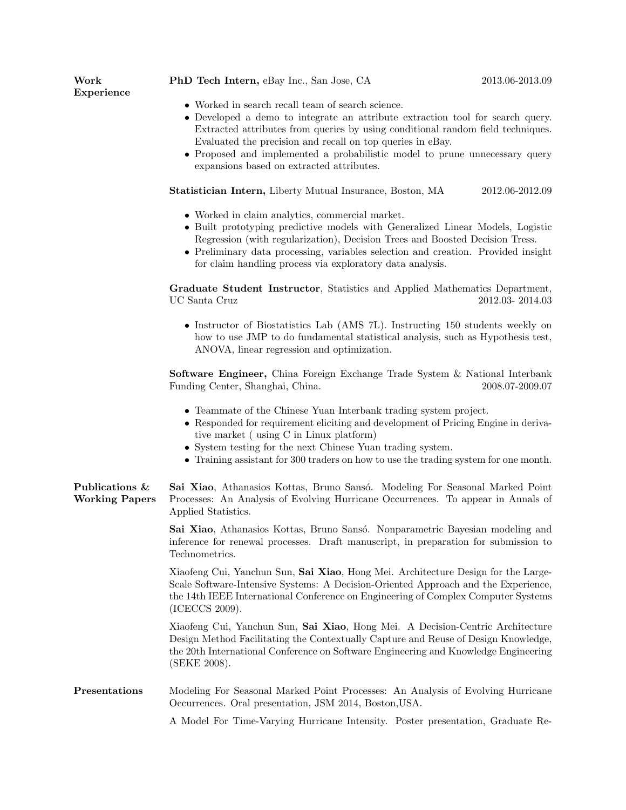| Work<br>Experience                      | PhD Tech Intern, eBay Inc., San Jose, CA                                                                                                                                                                                                                                                                                                                                                                                   | 2013.06-2013.09 |  |  |
|-----------------------------------------|----------------------------------------------------------------------------------------------------------------------------------------------------------------------------------------------------------------------------------------------------------------------------------------------------------------------------------------------------------------------------------------------------------------------------|-----------------|--|--|
|                                         | $\bullet\,$ Worked in search recall team of search science.<br>• Developed a demo to integrate an attribute extraction tool for search query.<br>Extracted attributes from queries by using conditional random field techniques.<br>Evaluated the precision and recall on top queries in eBay.<br>• Proposed and implemented a probabilistic model to prune unnecessary query<br>expansions based on extracted attributes. |                 |  |  |
|                                         | <b>Statistician Intern, Liberty Mutual Insurance, Boston, MA</b>                                                                                                                                                                                                                                                                                                                                                           | 2012.06-2012.09 |  |  |
|                                         | • Worked in claim analytics, commercial market.<br>• Built prototyping predictive models with Generalized Linear Models, Logistic<br>Regression (with regularization), Decision Trees and Boosted Decision Tress.<br>• Preliminary data processing, variables selection and creation. Provided insight<br>for claim handling process via exploratory data analysis.                                                        |                 |  |  |
|                                         | Graduate Student Instructor, Statistics and Applied Mathematics Department,<br>UC Santa Cruz                                                                                                                                                                                                                                                                                                                               | 2012.03-2014.03 |  |  |
|                                         | • Instructor of Biostatistics Lab (AMS 7L). Instructing 150 students weekly on<br>how to use JMP to do fundamental statistical analysis, such as Hypothesis test,<br>ANOVA, linear regression and optimization.                                                                                                                                                                                                            |                 |  |  |
|                                         | <b>Software Engineer,</b> China Foreign Exchange Trade System & National Interbank<br>Funding Center, Shanghai, China.                                                                                                                                                                                                                                                                                                     | 2008.07-2009.07 |  |  |
|                                         | • Teammate of the Chinese Yuan Interbank trading system project.<br>• Responded for requirement eliciting and development of Pricing Engine in deriva-<br>tive market (using C in Linux platform)<br>• System testing for the next Chinese Yuan trading system.<br>• Training assistant for 300 traders on how to use the trading system for one month.                                                                    |                 |  |  |
| Publications &<br><b>Working Papers</b> | Sai Xiao, Athanasios Kottas, Bruno Sansó. Modeling For Seasonal Marked Point<br>Processes: An Analysis of Evolving Hurricane Occurrences. To appear in Annals of<br>Applied Statistics.                                                                                                                                                                                                                                    |                 |  |  |
|                                         | Sai Xiao, Athanasios Kottas, Bruno Sansó. Nonparametric Bayesian modeling and<br>inference for renewal processes. Draft manuscript, in preparation for submission to<br>Technometrics.                                                                                                                                                                                                                                     |                 |  |  |
|                                         | Xiaofeng Cui, Yanchun Sun, Sai Xiao, Hong Mei. Architecture Design for the Large-<br>Scale Software-Intensive Systems: A Decision-Oriented Approach and the Experience,<br>the 14th IEEE International Conference on Engineering of Complex Computer Systems<br>(ICECCS 2009).                                                                                                                                             |                 |  |  |
|                                         | Xiaofeng Cui, Yanchun Sun, Sai Xiao, Hong Mei. A Decision-Centric Architecture<br>Design Method Facilitating the Contextually Capture and Reuse of Design Knowledge,<br>the 20th International Conference on Software Engineering and Knowledge Engineering<br>(SEKE 2008).                                                                                                                                                |                 |  |  |
| Presentations                           | Modeling For Seasonal Marked Point Processes: An Analysis of Evolving Hurricane<br>Occurrences. Oral presentation, JSM 2014, Boston, USA.                                                                                                                                                                                                                                                                                  |                 |  |  |
|                                         | A Model For Time-Varying Hurricane Intensity. Poster presentation, Graduate Re-                                                                                                                                                                                                                                                                                                                                            |                 |  |  |